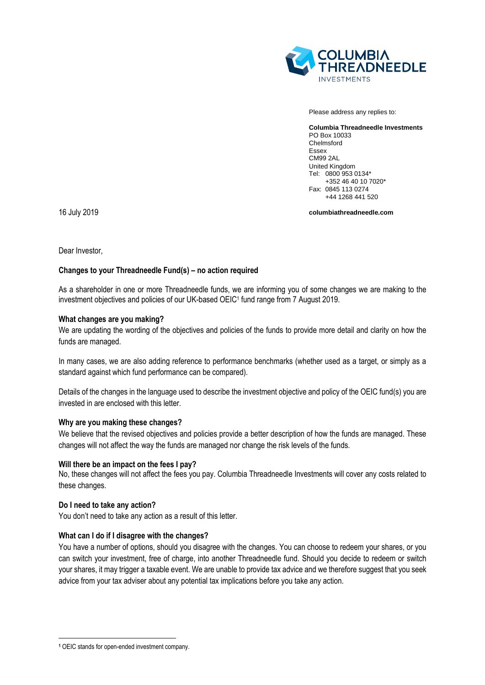

Please address any replies to:

**Columbia Threadneedle Investments** PO Box 10033 Chelmsford Essex CM99 2AL United Kingdom Tel: 0800 953 0134\* +352 46 40 10 7020\* Fax: 0845 113 0274 +44 1268 441 520

**columbiathreadneedle.com**

16 July 2019

Dear Investor,

# **Changes to your Threadneedle Fund(s) – no action required**

As a shareholder in one or more Threadneedle funds, we are informing you of some changes we are making to the investment objectives and policies of our UK-based OEIC<sup>1</sup> fund range from 7 August 2019.

### **What changes are you making?**

We are updating the wording of the objectives and policies of the funds to provide more detail and clarity on how the funds are managed.

In many cases, we are also adding reference to performance benchmarks (whether used as a target, or simply as a standard against which fund performance can be compared).

Details of the changes in the language used to describe the investment objective and policy of the OEIC fund(s) you are invested in are enclosed with this letter.

### **Why are you making these changes?**

We believe that the revised objectives and policies provide a better description of how the funds are managed. These changes will not affect the way the funds are managed nor change the risk levels of the funds.

### **Will there be an impact on the fees I pay?**

No, these changes will not affect the fees you pay. Columbia Threadneedle Investments will cover any costs related to these changes.

### **Do I need to take any action?**

You don't need to take any action as a result of this letter.

### **What can I do if I disagree with the changes?**

You have a number of options, should you disagree with the changes. You can choose to redeem your shares, or you can switch your investment, free of charge, into another Threadneedle fund. Should you decide to redeem or switch your shares, it may trigger a taxable event. We are unable to provide tax advice and we therefore suggest that you seek advice from your tax adviser about any potential tax implications before you take any action.

1

**<sup>1</sup>** OEIC stands for open-ended investment company.